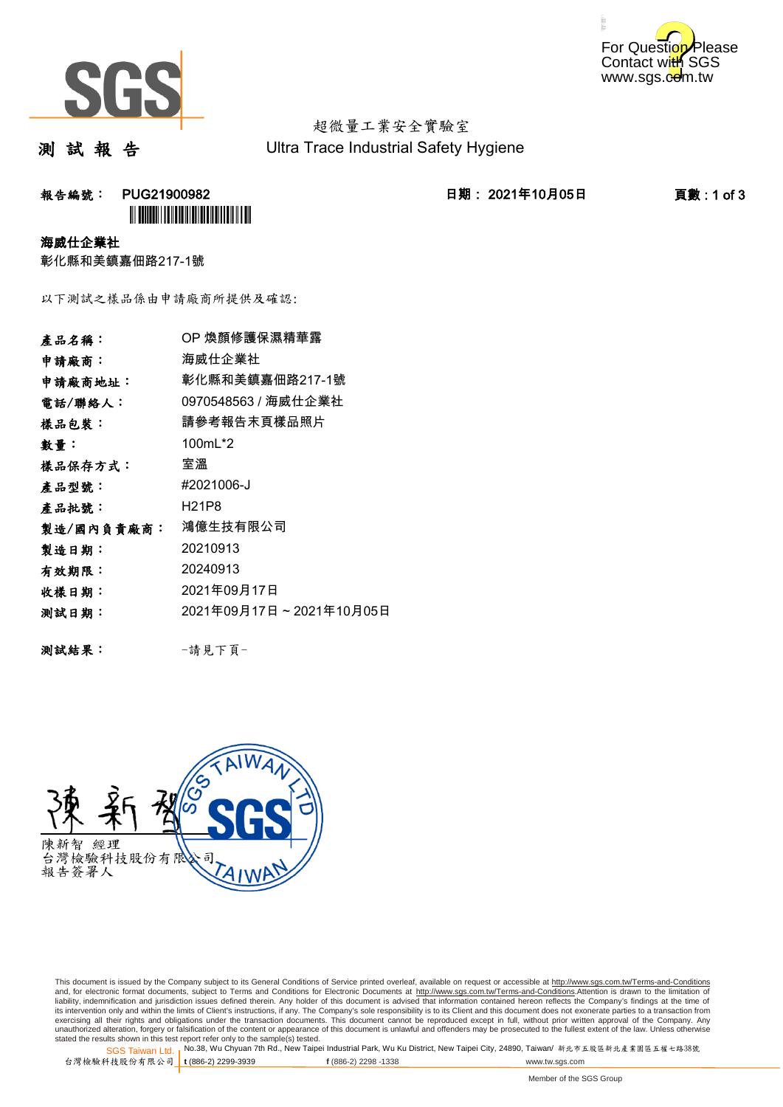



超微量工業安全實驗室 Ultra Trace Industrial Safety Hygiene

測 試 報 告

## **報告編號: PUG21900982 2021年10月05日 日期: 2021年10月05日 日期: 2021年10月05日 日期: 2021年10月05日 日期: 1 of 3 `**

海威仕企業社

彰化縣和美鎮嘉佃路217-1號

以下測試之樣品係由申請廠商所提供及確認:

| 產品名稱:      | OP 煥顏修護保濕精華露            |
|------------|-------------------------|
| 申請廠商:      | 海威仕企業社                  |
| 申請廠商地址:    | 彰化縣和美鎮嘉佃路217-1號         |
| 電話/聯絡人:    | 0970548563 / 海威仕企業社     |
| 樣品包裝:      | 請參考報告末頁樣品照片             |
| 數量:        | 100mL*2                 |
| 樣品保存方式:    | 室溫                      |
| 產品型號:      | #2021006-J              |
| 產品批號:      | H21P8                   |
| 製造/國內負責廠商: | 鴻億生技有限公司                |
| 製造日期:      | 20210913                |
| 有效期限:      | 20240913                |
| 收樣日期:      | 2021年09月17日             |
| 测試日期:      | 2021年09月17日~2021年10月05日 |
|            |                         |
|            |                         |

測試結果: -請見下頁-



This document is issued by the Company subject to its General Conditions of Service printed overleaf, available on request or accessible at http://www.sgs.com.tw/Terms-and-Conditions and, for electronic format documents, subject to Terms and Conditions for Electronic Documents at <u>http://www.sgs.com.tw/Terms-and-Conditions</u>.Attention is drawn to the limitation of<br>liability, indemnification and jurisdic exercising all their rights and obligations under the transaction documents. This document cannot be reproduced except in full, without prior written approval of the Company. Any<br>unauthorized alteration, forgery or falsifi

SGS Taiwan Ltd. 1 stated the results shown in this test report refer only to the sample(s) tested.<br>Stated the results shown in this test report refer only to the sample(s) tested.

台灣檢驗科技股份有限公司

**t** (886-2) 2299-3939 **f** (886-2) 2298 -1338 www.tw.sgs.com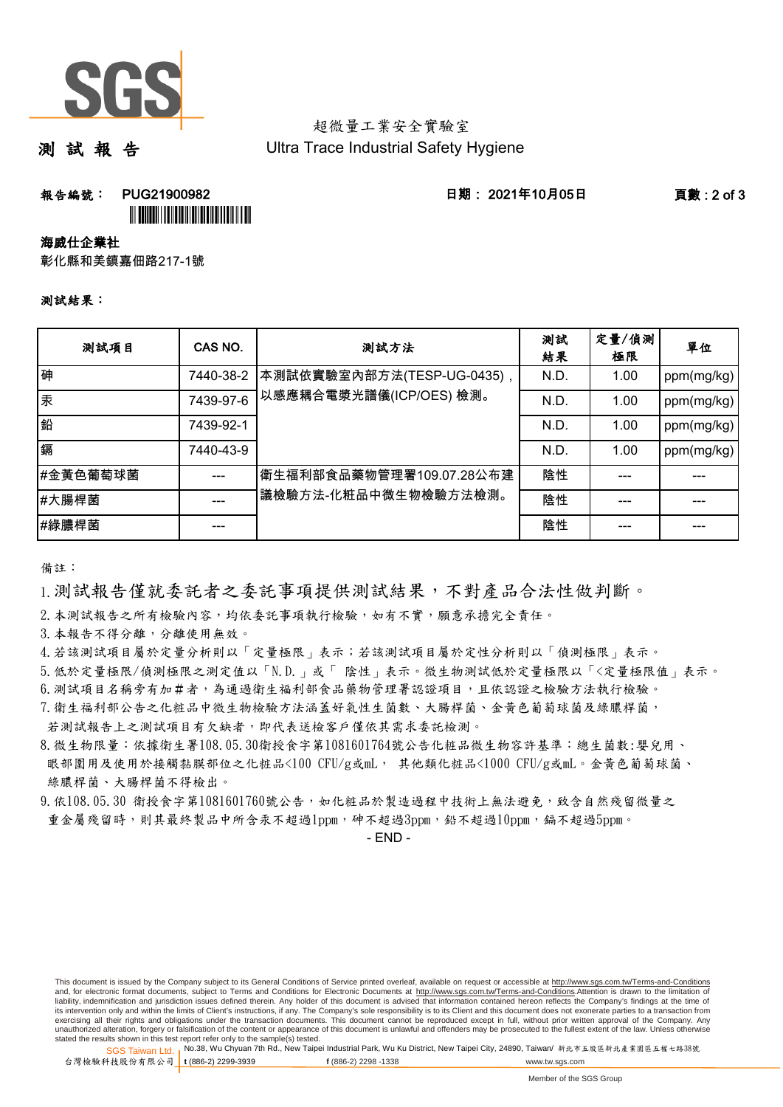

## 超微量工業安全實驗室 Ultra Trace Industrial Safety Hygiene

測 試 報 告

**報告編號: PUG21900982 - PUG21900982 - PUG21900982 - PUG215 - PUG21900982** - PUG215 - PUG21900982 - PUG

<u>III DININI ILI DININI ILI DININI ILI DI</u>

海威仕企業社

彰化縣和美鎮嘉佃路217-1號

## 測試結果:

| 测試項目     | CAS NO.   | 测試方法                                                 | 測試<br>結果 | 定量/偵測<br>極限 | 單位         |
|----------|-----------|------------------------------------------------------|----------|-------------|------------|
| 砷        | 7440-38-2 | 本測試依實驗室內部方法(TESP-UG-0435),<br>以感應耦合電漿光譜儀(ICP/OES)檢測。 | N.D.     | 1.00        | ppm(mg/kg) |
| 汞        | 7439-97-6 |                                                      | N.D.     | 1.00        | ppm(mg/kg) |
| 鉛        | 7439-92-1 |                                                      | N.D.     | 1.00        | ppm(mg/kg) |
| 鎘        | 7440-43-9 |                                                      | N.D.     | 1.00        | ppm(mg/kg) |
| #金黃色葡萄球菌 |           | 衛生福利部食品藥物管理署109.07.28公布建<br>議檢驗方法-化粧品中微生物檢驗方法檢測。     | 陰性       |             |            |
| #大腸桿菌    |           |                                                      | 陰性       |             |            |
| #綠膿桿菌    |           |                                                      | 陰性       |             |            |

備註:

1.測試報告僅就委託者之委託事項提供測試結果,不對產品合法性做判斷。

2.本測試報告之所有檢驗內容,均依委託事項執行檢驗,如有不實,願意承擔完全責任。

3.本報告不得分離,分離使用無效。

4.若該測試項目屬於定量分析則以「定量極限」表示;若該測試項目屬於定性分析則以「偵測極限」表示。

5.低於定量極限/偵測極限之測定值以「N.D.」或「 陰性」表示。微生物測試低於定量極限以「<定量極限值」表示。

6.測試項目名稱旁有加#者,為通過衛生福利部食品藥物管理署認證項目,且依認證之檢驗方法執行檢驗。

7.衛生福利部公告之化粧品中微生物檢驗方法涵蓋好氣性生菌數、大腸桿菌、金黃色葡萄球菌及綠膿桿菌,

 綠膿桿菌、大腸桿菌不得檢出。 若測試報告上之測試項目有欠缺者,即代表送檢客戶僅依其需求委託檢測。 8.微生物限量:依據衛生署108.05.30衛授食字第1081601764號公告化粧品微生物容許基準:總生菌數:嬰兒用、 眼部圍用及使用於接觸黏膜部位之化粧品<100 CFU/g或mL, 其他類化粧品<1000 CFU/g或mL。金黃色葡萄球菌、

9.依108.05.30 衛授食字第1081601760號公告,如化粧品於製造過程中技術上無法避免,致含自然殘留微量之 重金屬殘留時,則其最終製品中所含汞不超過1ppm,砷不超過3ppm,鉛不超過10ppm,鎘不超過5ppm。

- END -

This document is issued by the Company subject to its General Conditions of Service printed overleaf, available on request or accessible at http://www.sgs.com.tw/Terms-and-Conditions and, for electronic format documents, subject to Terms and Conditions for Electronic Documents at http://www.sgs.com.tw/Terms-and-Conditions.Attention is drawn to the limitation of liability, indemnification and jurisdiction issues defined therein. Any holder of this document is advised that information contained hereon reflects the Company's findings at the time of<br>its intervention only and within t exercising all their rights and obligations under the transaction documents. This document cannot be reproduced except in full, without prior written approval of the Company. Any<br>unauthorized alteration, forgery or falsifi

SGS Taiwan Ltd. 1 stated the results shown in this test report refer only to the sample(s) tested.<br>Stated the results shown in this test report refer only to the sample(s) tested.